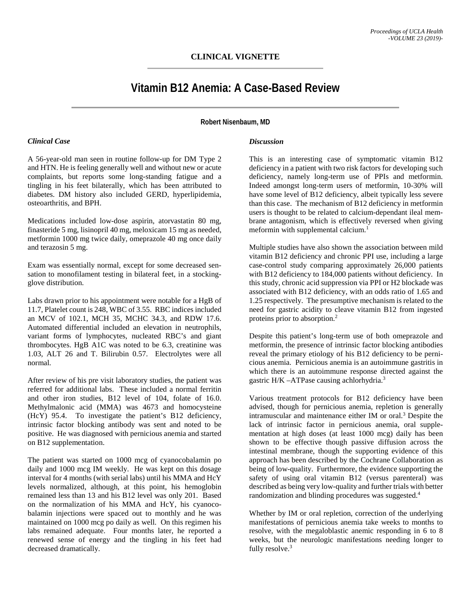## **CLINICAL VIGNETTE**

# **Vitamin B12 Anemia: A Case-Based Review**

#### **Robert Nisenbaum, MD**

#### *Clinical Case*

A 56-year-old man seen in routine follow-up for DM Type 2 and HTN. He is feeling generally well and without new or acute complaints, but reports some long-standing fatigue and a tingling in his feet bilaterally, which has been attributed to diabetes. DM history also included GERD, hyperlipidemia, osteoarthritis, and BPH.

Medications included low-dose aspirin, atorvastatin 80 mg, finasteride 5 mg, lisinopril 40 mg, meloxicam 15 mg as needed, metformin 1000 mg twice daily, omeprazole 40 mg once daily and terazosin 5 mg.

Exam was essentially normal, except for some decreased sensation to monofilament testing in bilateral feet, in a stockingglove distribution.

Labs drawn prior to his appointment were notable for a HgB of 11.7, Platelet count is 248, WBC of 3.55. RBC indices included an MCV of 102.1, MCH 35, MCHC 34.3, and RDW 17.6. Automated differential included an elevation in neutrophils, variant forms of lymphocytes, nucleated RBC's and giant thrombocytes. HgB A1C was noted to be 6.3, creatinine was 1.03, ALT 26 and T. Bilirubin 0.57. Electrolytes were all normal.

After review of his pre visit laboratory studies, the patient was referred for additional labs. These included a normal ferritin and other iron studies, B12 level of 104, folate of 16.0. Methylmalonic acid (MMA) was 4673 and homocysteine (HcY) 95.4. To investigate the patient's B12 deficiency, intrinsic factor blocking antibody was sent and noted to be positive. He was diagnosed with pernicious anemia and started on B12 supplementation.

The patient was started on 1000 mcg of cyanocobalamin po daily and 1000 mcg IM weekly. He was kept on this dosage interval for 4 months (with serial labs) until his MMA and HcY levels normalized, although, at this point, his hemoglobin remained less than 13 and his B12 level was only 201. Based on the normalization of his MMA and HcY, his cyanocobalamin injections were spaced out to monthly and he was maintained on 1000 mcg po daily as well. On this regimen his labs remained adequate. Four months later, he reported a renewed sense of energy and the tingling in his feet had decreased dramatically.

#### *Discussion*

This is an interesting case of symptomatic vitamin B12 deficiency in a patient with two risk factors for developing such deficiency, namely long-term use of PPIs and metformin. Indeed amongst long-term users of metformin, 10-30% will have some level of B12 deficiency, albeit typically less severe than this case. The mechanism of B12 deficiency in metformin users is thought to be related to calcium-dependant ileal membrane antagonism, which is effectively reversed when giving meformin with supplemental calcium. 1

Multiple studies have also shown the association between mild vitamin B12 deficiency and chronic PPI use, including a large case-control study comparing approximately 26,000 patients with B12 deficiency to 184,000 patients without deficiency. In this study, chronic acid suppression via PPI or H2 blockade was associated with B12 deficiency, with an odds ratio of 1.65 and 1.25 respectively. The presumptive mechanism is related to the need for gastric acidity to cleave vitamin B12 from ingested proteins prior to absorption. 2

Despite this patient's long-term use of both omeprazole and metformin, the presence of intrinsic factor blocking antibodies reveal the primary etiology of his B12 deficiency to be pernicious anemia. Pernicious anemia is an autoimmune gastritis in which there is an autoimmune response directed against the gastric H/K -ATPase causing achlorhydria.<sup>3</sup>

Various treatment protocols for B12 deficiency have been advised, though for pernicious anemia, repletion is generally intramuscular and maintenance either IM or oral. <sup>3</sup> Despite the lack of intrinsic factor in pernicious anemia, oral supplementation at high doses (at least 1000 mcg) daily has been shown to be effective though passive diffusion across the intestinal membrane, though the supporting evidence of this approach has been described by the Cochrane Collaboration as being of low-quality. Furthermore, the evidence supporting the safety of using oral vitamin B12 (versus parenteral) was described as being very low-quality and further trials with better randomization and blinding procedures was suggested. 4

Whether by IM or oral repletion, correction of the underlying manifestations of pernicious anemia take weeks to months to resolve, with the megaloblastic anemic responding in 6 to 8 weeks, but the neurologic manifestations needing longer to fully resolve.<sup>3</sup>